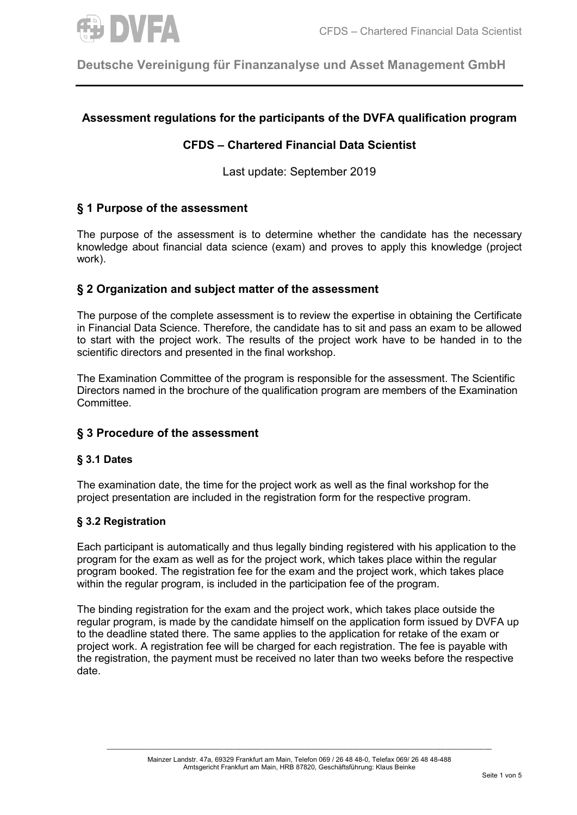

**Deutsche Vereinigung für Finanzanalyse und Asset Management GmbH**

# **Assessment regulations for the participants of the DVFA qualification program**

## **CFDS – Chartered Financial Data Scientist**

Last update: September 2019

## **§ 1 Purpose of the assessment**

The purpose of the assessment is to determine whether the candidate has the necessary knowledge about financial data science (exam) and proves to apply this knowledge (project work).

### **§ 2 Organization and subject matter of the assessment**

The purpose of the complete assessment is to review the expertise in obtaining the Certificate in Financial Data Science. Therefore, the candidate has to sit and pass an exam to be allowed to start with the project work. The results of the project work have to be handed in to the scientific directors and presented in the final workshop.

The Examination Committee of the program is responsible for the assessment. The Scientific Directors named in the brochure of the qualification program are members of the Examination Committee.

### **§ 3 Procedure of the assessment**

#### **§ 3.1 Dates**

The examination date, the time for the project work as well as the final workshop for the project presentation are included in the registration form for the respective program.

### **§ 3.2 Registration**

Each participant is automatically and thus legally binding registered with his application to the program for the exam as well as for the project work, which takes place within the regular program booked. The registration fee for the exam and the project work, which takes place within the regular program, is included in the participation fee of the program.

The binding registration for the exam and the project work, which takes place outside the regular program, is made by the candidate himself on the application form issued by DVFA up to the deadline stated there. The same applies to the application for retake of the exam or project work. A registration fee will be charged for each registration. The fee is payable with the registration, the payment must be received no later than two weeks before the respective date.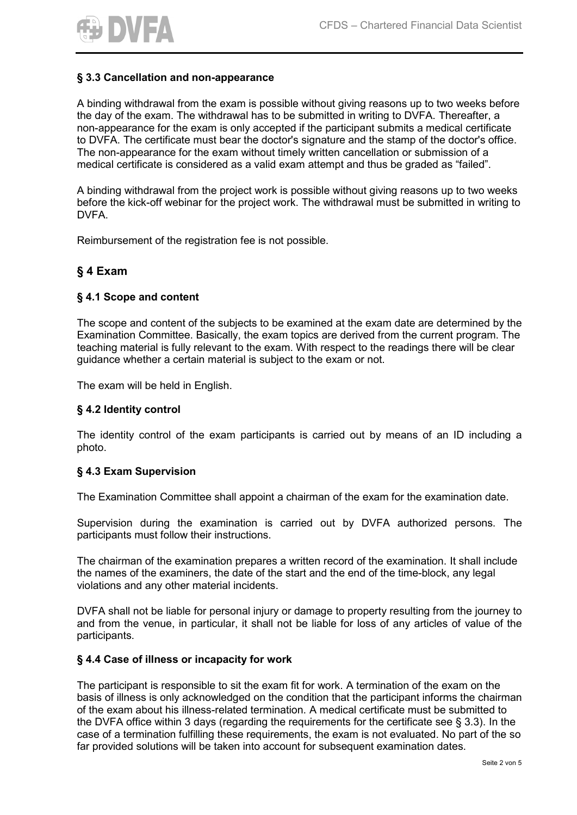

## **§ 3.3 Cancellation and non-appearance**

A binding withdrawal from the exam is possible without giving reasons up to two weeks before the day of the exam. The withdrawal has to be submitted in writing to DVFA. Thereafter, a non-appearance for the exam is only accepted if the participant submits a medical certificate to DVFA. The certificate must bear the doctor's signature and the stamp of the doctor's office. The non-appearance for the exam without timely written cancellation or submission of a medical certificate is considered as a valid exam attempt and thus be graded as "failed".

A binding withdrawal from the project work is possible without giving reasons up to two weeks before the kick-off webinar for the project work. The withdrawal must be submitted in writing to DVFA.

Reimbursement of the registration fee is not possible.

## **§ 4 Exam**

### **§ 4.1 Scope and content**

The scope and content of the subjects to be examined at the exam date are determined by the Examination Committee. Basically, the exam topics are derived from the current program. The teaching material is fully relevant to the exam. With respect to the readings there will be clear guidance whether a certain material is subject to the exam or not.

The exam will be held in English.

#### **§ 4.2 Identity control**

The identity control of the exam participants is carried out by means of an ID including a photo.

#### **§ 4.3 Exam Supervision**

The Examination Committee shall appoint a chairman of the exam for the examination date.

Supervision during the examination is carried out by DVFA authorized persons. The participants must follow their instructions.

The chairman of the examination prepares a written record of the examination. It shall include the names of the examiners, the date of the start and the end of the time-block, any legal violations and any other material incidents.

DVFA shall not be liable for personal injury or damage to property resulting from the journey to and from the venue, in particular, it shall not be liable for loss of any articles of value of the participants.

#### **§ 4.4 Case of illness or incapacity for work**

The participant is responsible to sit the exam fit for work. A termination of the exam on the basis of illness is only acknowledged on the condition that the participant informs the chairman of the exam about his illness-related termination. A medical certificate must be submitted to the DVFA office within 3 days (regarding the requirements for the certificate see § 3.3). In the case of a termination fulfilling these requirements, the exam is not evaluated. No part of the so far provided solutions will be taken into account for subsequent examination dates.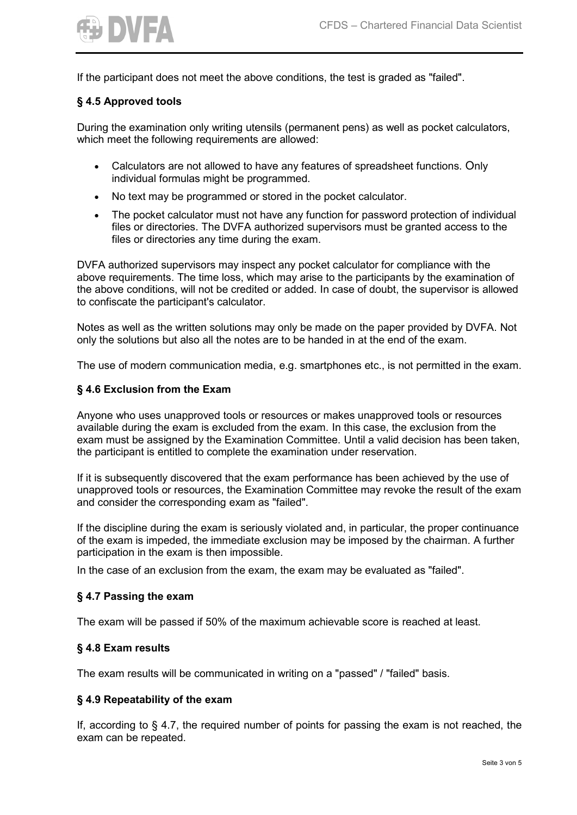

If the participant does not meet the above conditions, the test is graded as "failed".

### **§ 4.5 Approved tools**

During the examination only writing utensils (permanent pens) as well as pocket calculators, which meet the following requirements are allowed:

- Calculators are not allowed to have any features of spreadsheet functions. Only individual formulas might be programmed.
- No text may be programmed or stored in the pocket calculator.
- The pocket calculator must not have any function for password protection of individual files or directories. The DVFA authorized supervisors must be granted access to the files or directories any time during the exam.

DVFA authorized supervisors may inspect any pocket calculator for compliance with the above requirements. The time loss, which may arise to the participants by the examination of the above conditions, will not be credited or added. In case of doubt, the supervisor is allowed to confiscate the participant's calculator.

Notes as well as the written solutions may only be made on the paper provided by DVFA. Not only the solutions but also all the notes are to be handed in at the end of the exam.

The use of modern communication media, e.g. smartphones etc., is not permitted in the exam.

### **§ 4.6 Exclusion from the Exam**

Anyone who uses unapproved tools or resources or makes unapproved tools or resources available during the exam is excluded from the exam. In this case, the exclusion from the exam must be assigned by the Examination Committee. Until a valid decision has been taken, the participant is entitled to complete the examination under reservation.

If it is subsequently discovered that the exam performance has been achieved by the use of unapproved tools or resources, the Examination Committee may revoke the result of the exam and consider the corresponding exam as "failed".

If the discipline during the exam is seriously violated and, in particular, the proper continuance of the exam is impeded, the immediate exclusion may be imposed by the chairman. A further participation in the exam is then impossible.

In the case of an exclusion from the exam, the exam may be evaluated as "failed".

#### **§ 4.7 Passing the exam**

The exam will be passed if 50% of the maximum achievable score is reached at least.

#### **§ 4.8 Exam results**

The exam results will be communicated in writing on a "passed" / "failed" basis.

#### **§ 4.9 Repeatability of the exam**

If, according to § 4.7, the required number of points for passing the exam is not reached, the exam can be repeated.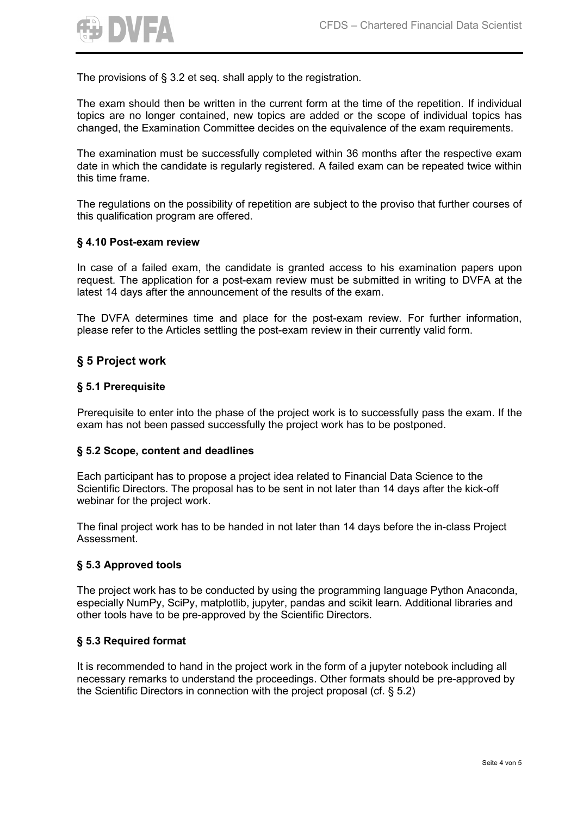

The provisions of § 3.2 et seq. shall apply to the registration.

The exam should then be written in the current form at the time of the repetition. If individual topics are no longer contained, new topics are added or the scope of individual topics has changed, the Examination Committee decides on the equivalence of the exam requirements.

The examination must be successfully completed within 36 months after the respective exam date in which the candidate is regularly registered. A failed exam can be repeated twice within this time frame.

The regulations on the possibility of repetition are subject to the proviso that further courses of this qualification program are offered.

#### **§ 4.10 Post-exam review**

In case of a failed exam, the candidate is granted access to his examination papers upon request. The application for a post-exam review must be submitted in writing to DVFA at the latest 14 days after the announcement of the results of the exam.

The DVFA determines time and place for the post-exam review. For further information, please refer to the Articles settling the post-exam review in their currently valid form.

## **§ 5 Project work**

### **§ 5.1 Prerequisite**

Prerequisite to enter into the phase of the project work is to successfully pass the exam. If the exam has not been passed successfully the project work has to be postponed.

#### **§ 5.2 Scope, content and deadlines**

Each participant has to propose a project idea related to Financial Data Science to the Scientific Directors. The proposal has to be sent in not later than 14 days after the kick-off webinar for the project work.

The final project work has to be handed in not later than 14 days before the in-class Project Assessment.

#### **§ 5.3 Approved tools**

The project work has to be conducted by using the programming language Python Anaconda, especially NumPy, SciPy, matplotlib, jupyter, pandas and scikit learn. Additional libraries and other tools have to be pre-approved by the Scientific Directors.

#### **§ 5.3 Required format**

It is recommended to hand in the project work in the form of a jupyter notebook including all necessary remarks to understand the proceedings. Other formats should be pre-approved by the Scientific Directors in connection with the project proposal (cf. § 5.2)